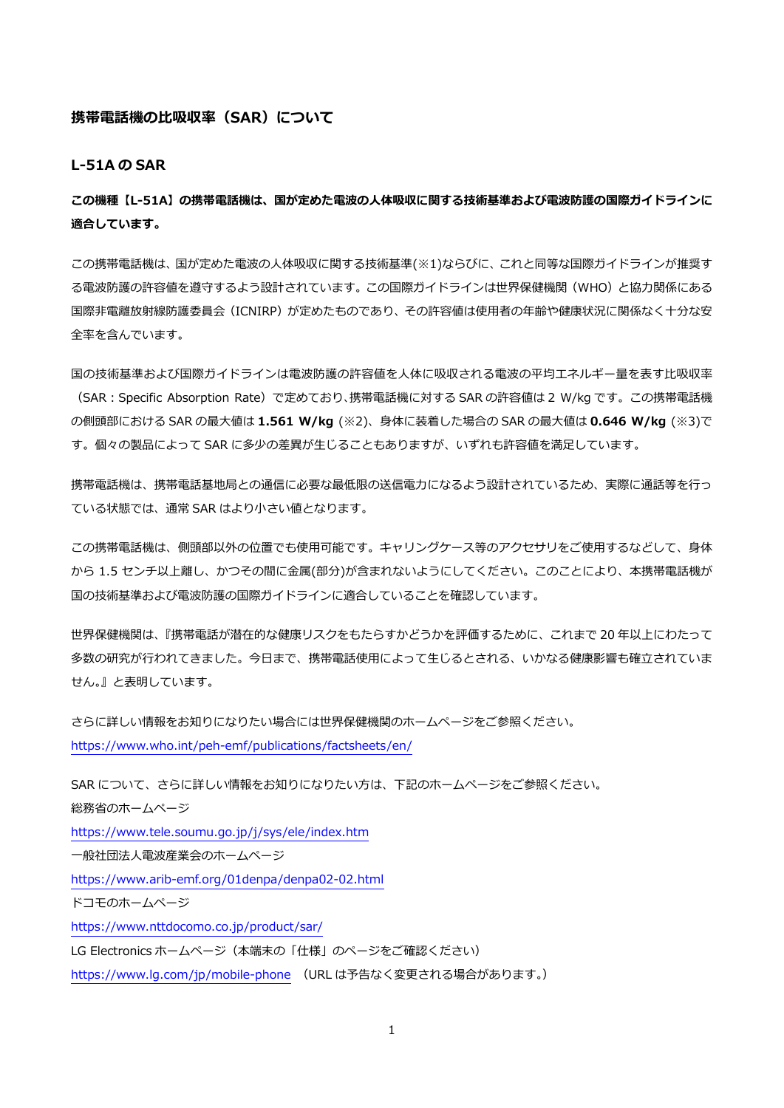#### **携帯電話機の⽐吸収率(SAR)について**

**L-51A の SAR** 

**この機種【L-51A】の携帯電話機は、国が定めた電波の⼈体吸収に関する技術基準および電波防護の国際ガイドラインに 適合しています。** 

この携帯電話機は、国が定めた電波の人体吸収に関する技術基準(※1)ならびに、これと同等な国際ガイドラインが推奨す る電波防護の許容値を遵守するよう設計されています。この国際ガイドラインは世界保健機関(WHO)と協⼒関係にある 国際非電離放射線防護委員会(ICNIRP)が定めたものであり、その許容値は使用者の年齢や健康状況に関係なく十分な安 全率を含んでいます。

国の技術基準および国際ガイドラインは電波防護の許容値を人体に吸収される電波の平均エネルギー量を表す比吸収率 (SAR︓Specific Absorption Rate)で定めており、携帯電話機に対する SAR の許容値は 2 W/kg です。この携帯電話機 の側頭部における SAR の最⼤値は **1.561 W/kg** (※2)、⾝体に装着した場合の SAR の最⼤値は **0.646 W/kg** (※3)で す。個々の製品によって SAR に多少の差異が生じることもありますが、いずれも許容値を満足しています。

携帯電話機は、携帯電話基地局との通信に必要な最低限の送信電力になるよう設計されているため、実際に通話等を行っ ている状態では、通常 SAR はより⼩さい値となります。

この携帯電話機は、側頭部以外の位置でも使用可能です。キャリングケース等のアクセサリをご使用するなどして、身体 から 1.5 センチ以上離し、かつその間に⾦属(部分)が含まれないようにしてください。このことにより、本携帯電話機が 国の技術基準および電波防護の国際ガイドラインに適合していることを確認しています。

世界保健機関は、『携帯電話が潜在的な健康リスクをもたらすかどうかを評価するために、これまで 20 年以上にわたって 多数の研究が行われてきました。今日まで、携帯電話使用によって生じるとされる、いかなる健康影響も確立されていま せん。』と表明しています。

さらに詳しい情報をお知りになりたい場合には世界保健機関のホームページをご参照ください。 https://www.who.int/peh-emf/publications/factsheets/en/

SAR について、さらに詳しい情報をお知りになりたい方は、下記のホームページをご参照ください。 総務省のホームページ https://www.tele.soumu.go.jp/j/sys/ele/index.htm ⼀般社団法⼈電波産業会のホームページ https://www.arib-emf.org/01denpa/denpa02-02.html ドコモのホームページ https://www.nttdocomo.co.jp/product/sar/ LG Electronics ホームページ(本端末の「仕様」のページをご確認ください) https://www.lg.com/jp/mobile-phone (URL は予告なく変更される場合があります。)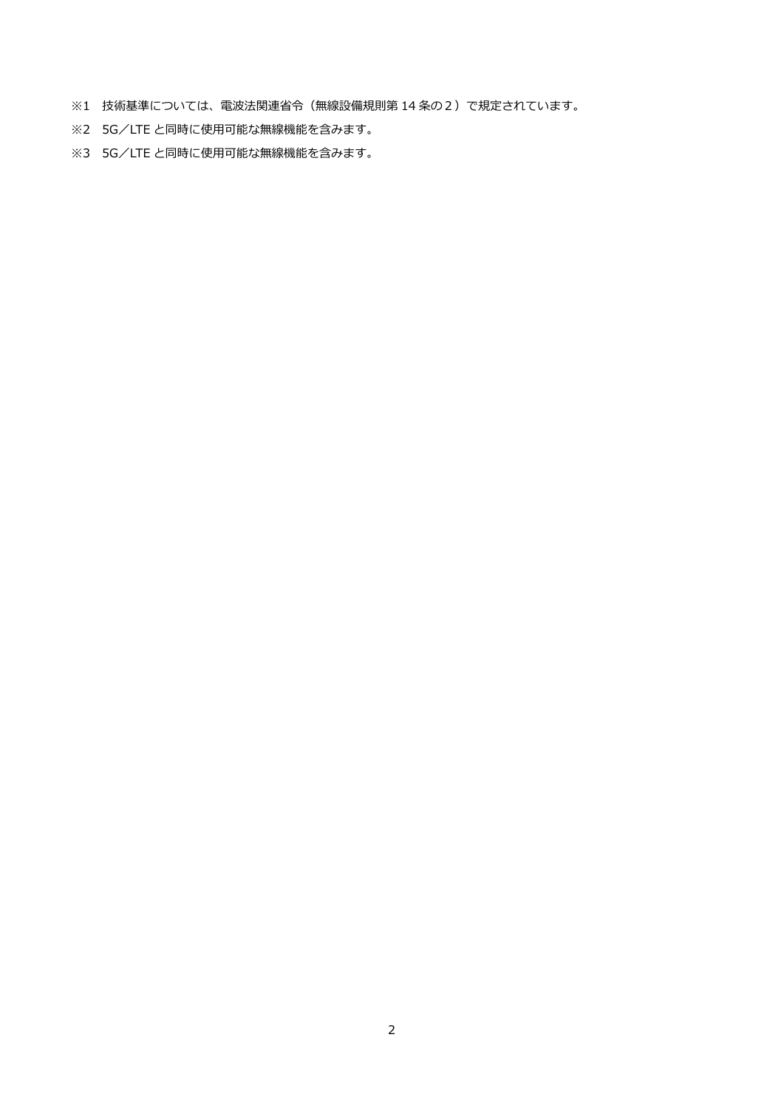- ※1 技術基準については、電波法関連省令(無線設備規則第 14 条の2)で規定されています。
- ※2 5G/LTE と同時に使用可能な無線機能を含みます。
- ※3 5G/LTE と同時に使用可能な無線機能を含みます。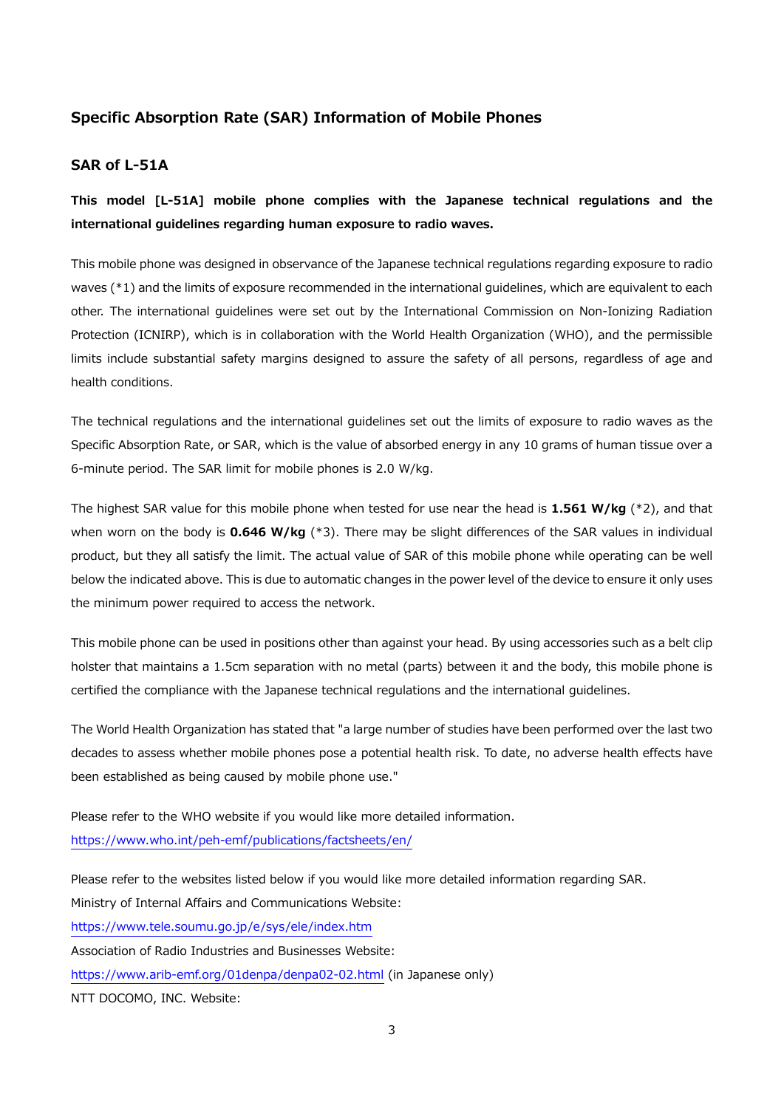## **Specific Absorption Rate (SAR) Information of Mobile Phones**

### **SAR of L-51A**

**This model [L-51A] mobile phone complies with the Japanese technical regulations and the international guidelines regarding human exposure to radio waves.** 

This mobile phone was designed in observance of the Japanese technical regulations regarding exposure to radio waves (\*1) and the limits of exposure recommended in the international guidelines, which are equivalent to each other. The international guidelines were set out by the International Commission on Non-Ionizing Radiation Protection (ICNIRP), which is in collaboration with the World Health Organization (WHO), and the permissible limits include substantial safety margins designed to assure the safety of all persons, regardless of age and health conditions.

The technical regulations and the international guidelines set out the limits of exposure to radio waves as the Specific Absorption Rate, or SAR, which is the value of absorbed energy in any 10 grams of human tissue over a 6-minute period. The SAR limit for mobile phones is 2.0 W/kg.

The highest SAR value for this mobile phone when tested for use near the head is **1.561 W/kg** (\*2), and that when worn on the body is **0.646 W/kg** (\*3). There may be slight differences of the SAR values in individual product, but they all satisfy the limit. The actual value of SAR of this mobile phone while operating can be well below the indicated above. This is due to automatic changes in the power level of the device to ensure it only uses the minimum power required to access the network.

This mobile phone can be used in positions other than against your head. By using accessories such as a belt clip holster that maintains a 1.5cm separation with no metal (parts) between it and the body, this mobile phone is certified the compliance with the Japanese technical regulations and the international guidelines.

The World Health Organization has stated that "a large number of studies have been performed over the last two decades to assess whether mobile phones pose a potential health risk. To date, no adverse health effects have been established as being caused by mobile phone use."

Please refer to the WHO website if you would like more detailed information. https://www.who.int/peh-emf/publications/factsheets/en/

Please refer to the websites listed below if you would like more detailed information regarding SAR. Ministry of Internal Affairs and Communications Website: https://www.tele.soumu.go.jp/e/sys/ele/index.htm Association of Radio Industries and Businesses Website: https://www.arib-emf.org/01denpa/denpa02-02.html (in Japanese only) NTT DOCOMO, INC. Website: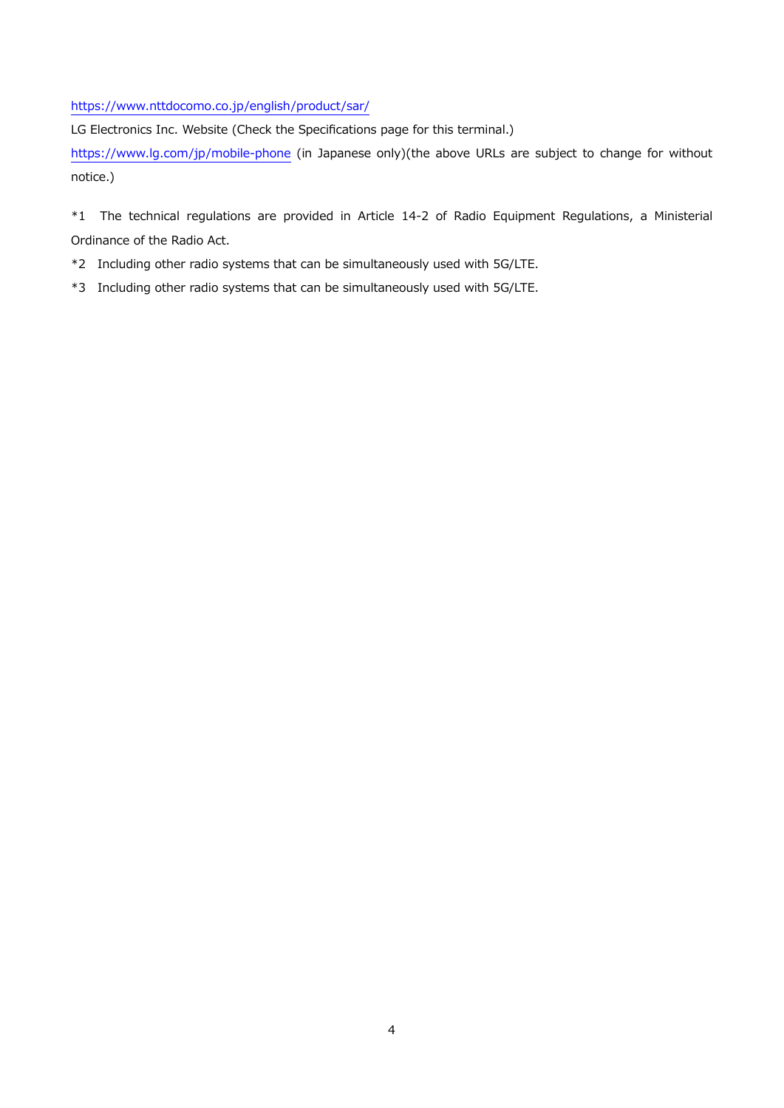https://www.nttdocomo.co.jp/english/product/sar/

LG Electronics Inc. Website (Check the Specifications page for this terminal.)

https://www.lg.com/jp/mobile-phone (in Japanese only)(the above URLs are subject to change for without notice.)

\*1 The technical regulations are provided in Article 14-2 of Radio Equipment Regulations, a Ministerial Ordinance of the Radio Act.

- \*2 Including other radio systems that can be simultaneously used with 5G/LTE.
- \*3 Including other radio systems that can be simultaneously used with 5G/LTE.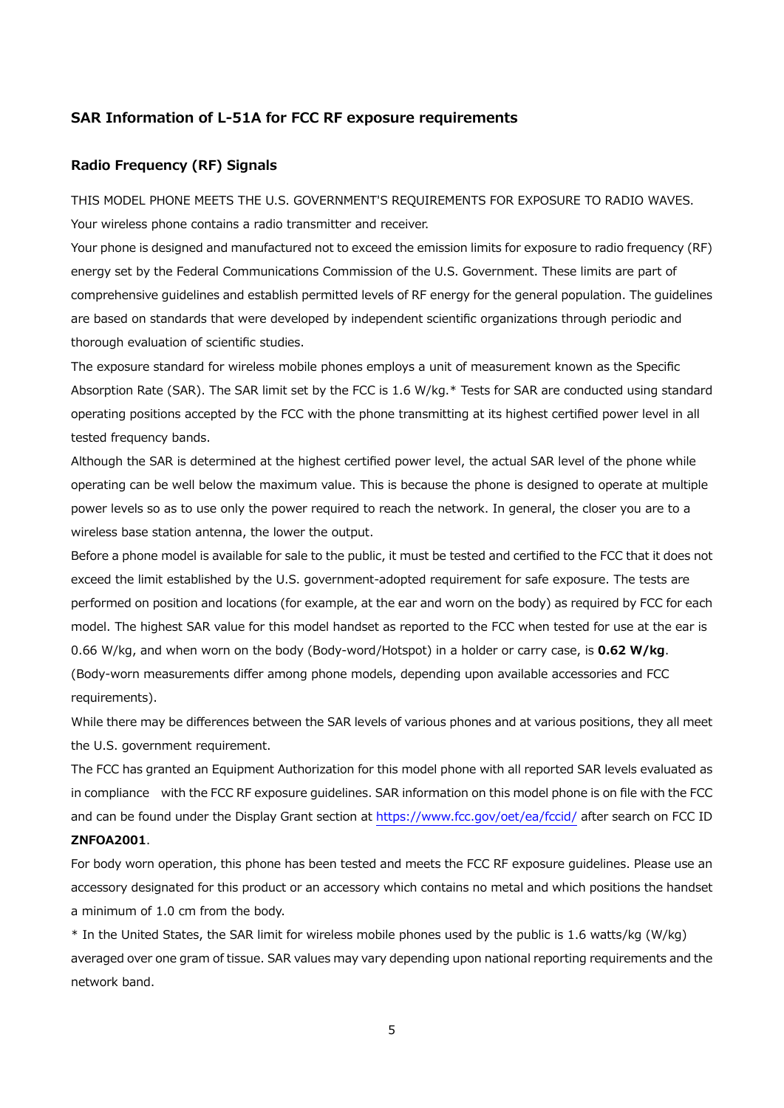#### **SAR Information of L-51A for FCC RF exposure requirements**

#### **Radio Frequency (RF) Signals**

THIS MODEL PHONE MEETS THE U.S. GOVERNMENT'S REQUIREMENTS FOR EXPOSURE TO RADIO WAVES. Your wireless phone contains a radio transmitter and receiver.

Your phone is designed and manufactured not to exceed the emission limits for exposure to radio frequency (RF) energy set by the Federal Communications Commission of the U.S. Government. These limits are part of comprehensive guidelines and establish permitted levels of RF energy for the general population. The guidelines are based on standards that were developed by independent scientific organizations through periodic and thorough evaluation of scientific studies.

The exposure standard for wireless mobile phones employs a unit of measurement known as the Specific Absorption Rate (SAR). The SAR limit set by the FCC is 1.6 W/kg.\* Tests for SAR are conducted using standard operating positions accepted by the FCC with the phone transmitting at its highest certified power level in all tested frequency bands.

Although the SAR is determined at the highest certified power level, the actual SAR level of the phone while operating can be well below the maximum value. This is because the phone is designed to operate at multiple power levels so as to use only the power required to reach the network. In general, the closer you are to a wireless base station antenna, the lower the output.

Before a phone model is available for sale to the public, it must be tested and certified to the FCC that it does not exceed the limit established by the U.S. government-adopted requirement for safe exposure. The tests are performed on position and locations (for example, at the ear and worn on the body) as required by FCC for each model. The highest SAR value for this model handset as reported to the FCC when tested for use at the ear is 0.66 W/kg, and when worn on the body (Body-word/Hotspot) in a holder or carry case, is **0.62 W/kg**. (Body-worn measurements differ among phone models, depending upon available accessories and FCC requirements).

While there may be differences between the SAR levels of various phones and at various positions, they all meet the U.S. government requirement.

The FCC has granted an Equipment Authorization for this model phone with all reported SAR levels evaluated as in compliance with the FCC RF exposure guidelines. SAR information on this model phone is on file with the FCC and can be found under the Display Grant section at https://www.fcc.gov/oet/ea/fccid/ after search on FCC ID **ZNFOA2001**.

# For body worn operation, this phone has been tested and meets the FCC RF exposure guidelines. Please use an accessory designated for this product or an accessory which contains no metal and which positions the handset a minimum of 1.0 cm from the body.

\* In the United States, the SAR limit for wireless mobile phones used by the public is 1.6 watts/kg (W/kg) averaged over one gram of tissue. SAR values may vary depending upon national reporting requirements and the network band.